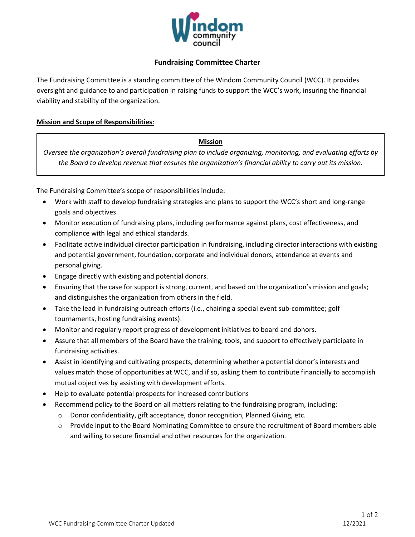

# **Fundraising Committee Charter**

The Fundraising Committee is a standing committee of the Windom Community Council (WCC). It provides oversight and guidance to and participation in raising funds to support the WCC's work, insuring the financial viability and stability of the organization.

### **Mission and Scope of Responsibilities**:

#### **Mission**

*Oversee the organization's overall fundraising plan to include organizing, monitoring, and evaluating efforts by the Board to develop revenue that ensures the organization's financial ability to carry out its mission.*

The Fundraising Committee's scope of responsibilities include:

- Work with staff to develop fundraising strategies and plans to support the WCC's short and long-range goals and objectives.
- Monitor execution of fundraising plans, including performance against plans, cost effectiveness, and compliance with legal and ethical standards.
- Facilitate active individual director participation in fundraising, including director interactions with existing and potential government, foundation, corporate and individual donors, attendance at events and personal giving.
- Engage directly with existing and potential donors.
- Ensuring that the case for support is strong, current, and based on the organization's mission and goals; and distinguishes the organization from others in the field.
- Take the lead in fundraising outreach efforts (i.e., chairing a special event sub-committee; golf tournaments, hosting fundraising events).
- Monitor and regularly report progress of development initiatives to board and donors.
- Assure that all members of the Board have the training, tools, and support to effectively participate in fundraising activities.
- Assist in identifying and cultivating prospects, determining whether a potential donor's interests and values match those of opportunities at WCC, and if so, asking them to contribute financially to accomplish mutual objectives by assisting with development efforts.
- Help to evaluate potential prospects for increased contributions
- Recommend policy to the Board on all matters relating to the fundraising program, including:
	- $\circ$  Donor confidentiality, gift acceptance, donor recognition, Planned Giving, etc.
	- o Provide input to the Board Nominating Committee to ensure the recruitment of Board members able and willing to secure financial and other resources for the organization.